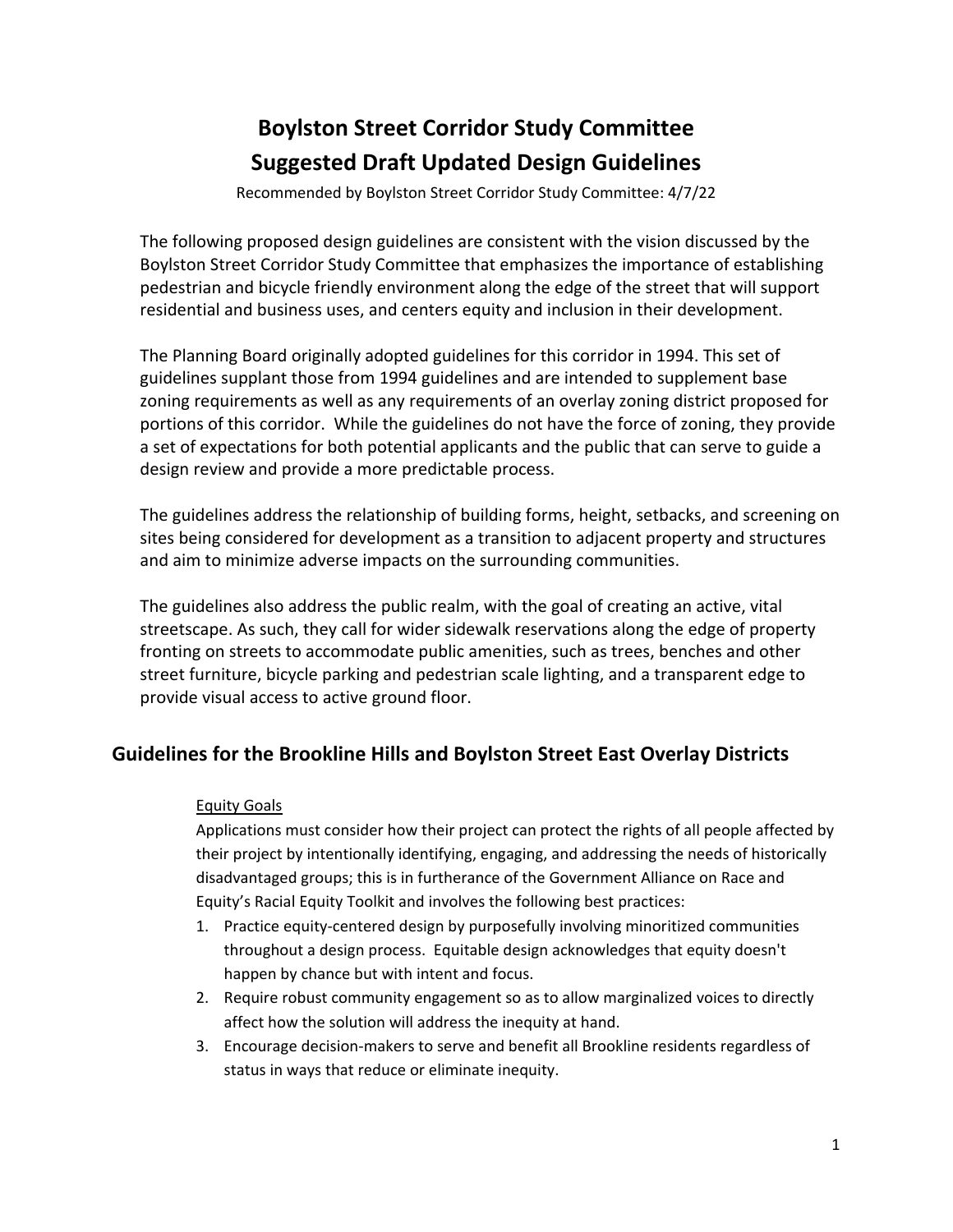# **Boylston Street Corridor Study Committee Suggested Draft Updated Design Guidelines**

Recommended by Boylston Street Corridor Study Committee: 4/7/22

The following proposed design guidelines are consistent with the vision discussed by the Boylston Street Corridor Study Committee that emphasizes the importance of establishing pedestrian and bicycle friendly environment along the edge of the street that will support residential and business uses, and centers equity and inclusion in their development.

The Planning Board originally adopted guidelines for this corridor in 1994. This set of guidelines supplant those from 1994 guidelines and are intended to supplement base zoning requirements as well as any requirements of an overlay zoning district proposed for portions of this corridor. While the guidelines do not have the force of zoning, they provide a set of expectations for both potential applicants and the public that can serve to guide a design review and provide a more predictable process.

The guidelines address the relationship of building forms, height, setbacks, and screening on sites being considered for development as a transition to adjacent property and structures and aim to minimize adverse impacts on the surrounding communities.

The guidelines also address the public realm, with the goal of creating an active, vital streetscape. As such, they call for wider sidewalk reservations along the edge of property fronting on streets to accommodate public amenities, such as trees, benches and other street furniture, bicycle parking and pedestrian scale lighting, and a transparent edge to provide visual access to active ground floor.

# **Guidelines for the Brookline Hills and Boylston Street East Overlay Districts**

# Equity Goals

Applications must consider how their project can protect the rights of all people affected by their project by intentionally identifying, engaging, and addressing the needs of historically disadvantaged groups; this is in furtherance of the Government Alliance on Race and Equity's Racial Equity Toolkit and involves the following best practices:

- 1. Practice equity-centered design by purposefully involving minoritized communities throughout a design process. Equitable design acknowledges that equity doesn't happen by chance but with intent and focus.
- 2. Require robust community engagement so as to allow marginalized voices to directly affect how the solution will address the inequity at hand.
- 3. Encourage decision‐makers to serve and benefit all Brookline residents regardless of status in ways that reduce or eliminate inequity.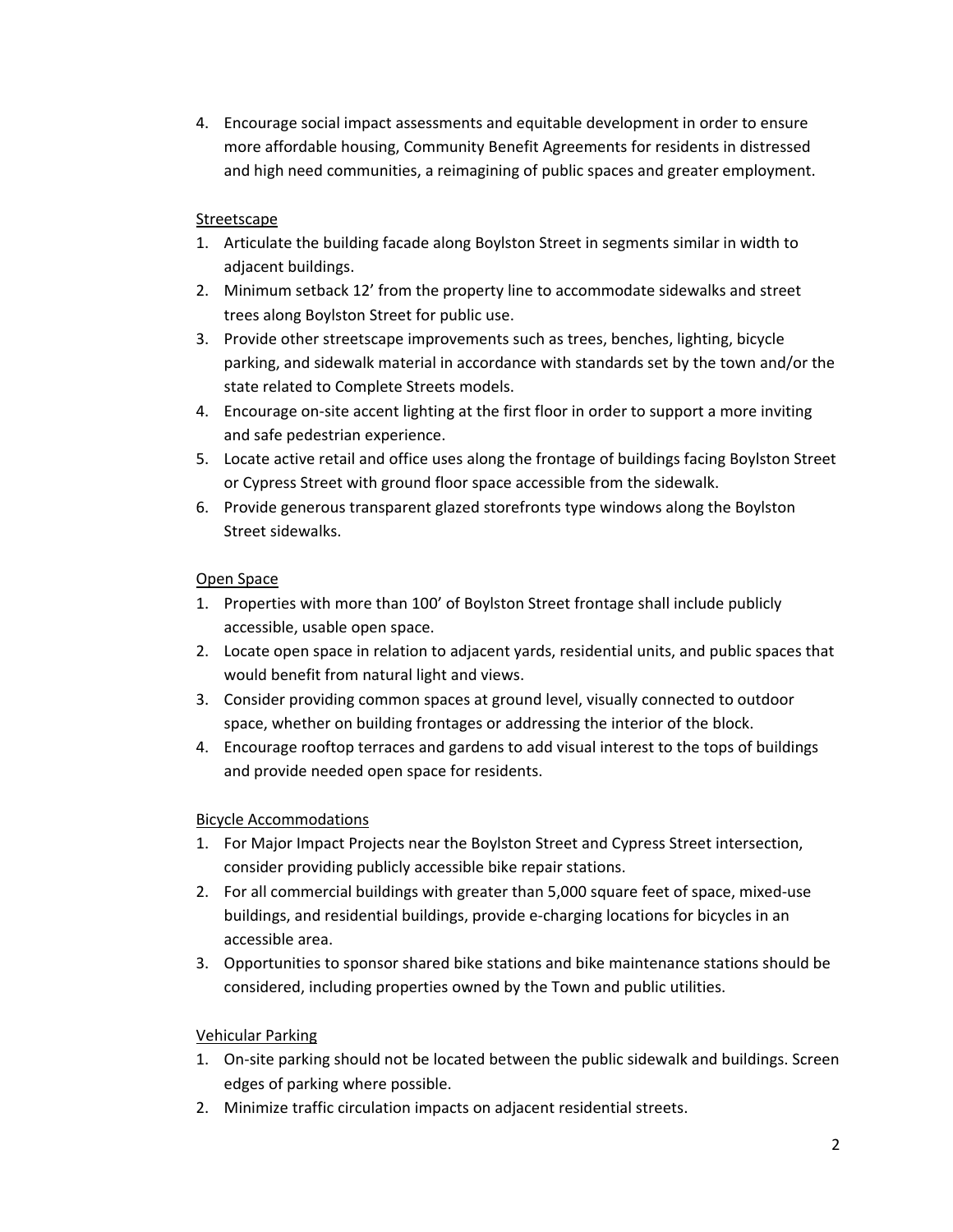4. Encourage social impact assessments and equitable development in order to ensure more affordable housing, Community Benefit Agreements for residents in distressed and high need communities, a reimagining of public spaces and greater employment.

# Streetscape

- 1. Articulate the building facade along Boylston Street in segments similar in width to adjacent buildings.
- 2. Minimum setback 12' from the property line to accommodate sidewalks and street trees along Boylston Street for public use.
- 3. Provide other streetscape improvements such as trees, benches, lighting, bicycle parking, and sidewalk material in accordance with standards set by the town and/or the state related to Complete Streets models.
- 4. Encourage on-site accent lighting at the first floor in order to support a more inviting and safe pedestrian experience.
- 5. Locate active retail and office uses along the frontage of buildings facing Boylston Street or Cypress Street with ground floor space accessible from the sidewalk.
- 6. Provide generous transparent glazed storefronts type windows along the Boylston Street sidewalks.

# Open Space

- 1. Properties with more than 100' of Boylston Street frontage shall include publicly accessible, usable open space.
- 2. Locate open space in relation to adjacent yards, residential units, and public spaces that would benefit from natural light and views.
- 3. Consider providing common spaces at ground level, visually connected to outdoor space, whether on building frontages or addressing the interior of the block.
- 4. Encourage rooftop terraces and gardens to add visual interest to the tops of buildings and provide needed open space for residents.

# Bicycle Accommodations

- 1. For Major Impact Projects near the Boylston Street and Cypress Street intersection, consider providing publicly accessible bike repair stations.
- 2. For all commercial buildings with greater than 5,000 square feet of space, mixed-use buildings, and residential buildings, provide e‐charging locations for bicycles in an accessible area.
- 3. Opportunities to sponsor shared bike stations and bike maintenance stations should be considered, including properties owned by the Town and public utilities.

# Vehicular Parking

- 1. On-site parking should not be located between the public sidewalk and buildings. Screen edges of parking where possible.
- 2. Minimize traffic circulation impacts on adjacent residential streets.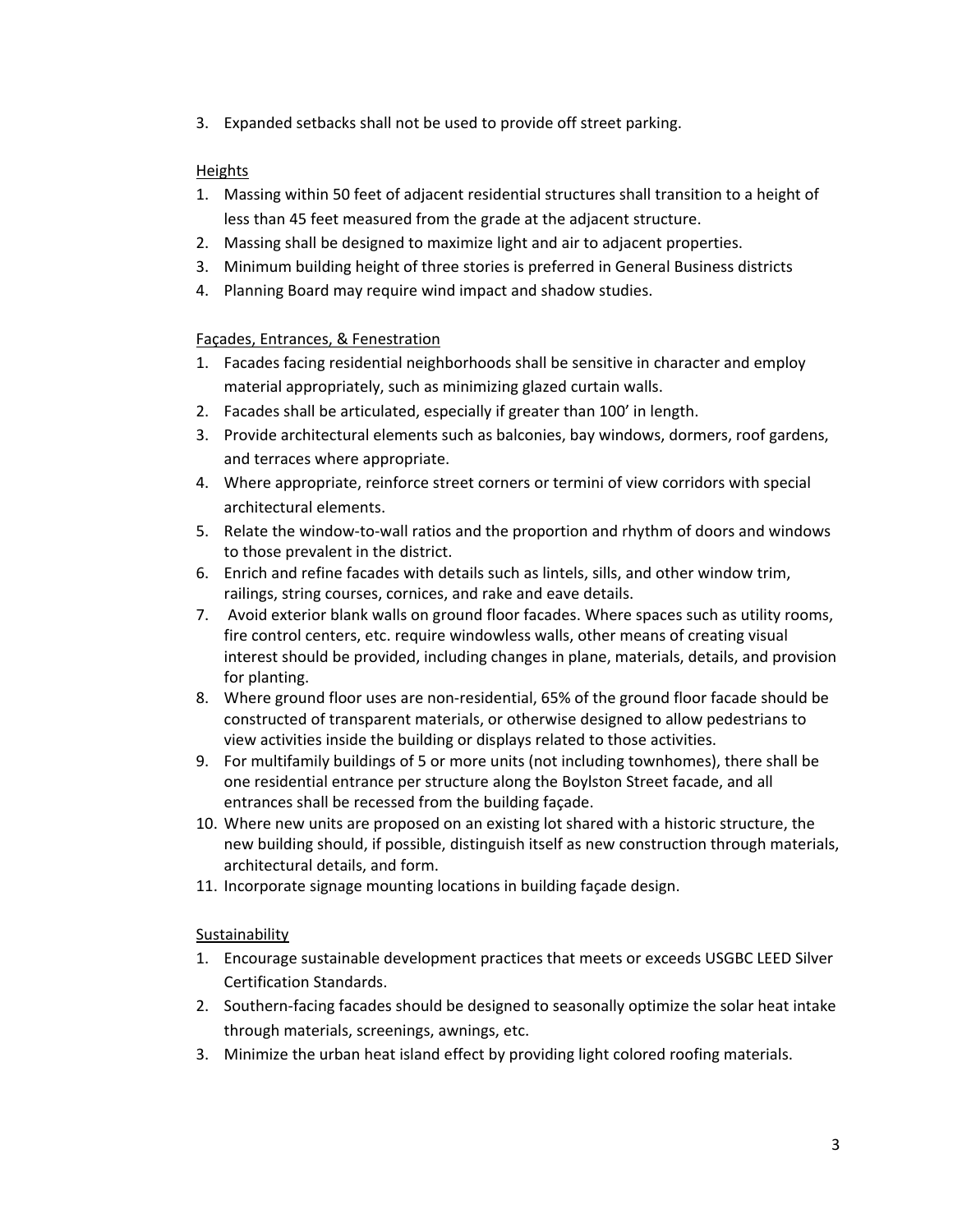3. Expanded setbacks shall not be used to provide off street parking.

# Heights

- 1. Massing within 50 feet of adjacent residential structures shall transition to a height of less than 45 feet measured from the grade at the adjacent structure.
- 2. Massing shall be designed to maximize light and air to adjacent properties.
- 3. Minimum building height of three stories is preferred in General Business districts
- 4. Planning Board may require wind impact and shadow studies.

## Façades, Entrances, & Fenestration

- 1. Facades facing residential neighborhoods shall be sensitive in character and employ material appropriately, such as minimizing glazed curtain walls.
- 2. Facades shall be articulated, especially if greater than 100' in length.
- 3. Provide architectural elements such as balconies, bay windows, dormers, roof gardens, and terraces where appropriate.
- 4. Where appropriate, reinforce street corners or termini of view corridors with special architectural elements.
- 5. Relate the window-to-wall ratios and the proportion and rhythm of doors and windows to those prevalent in the district.
- 6. Enrich and refine facades with details such as lintels, sills, and other window trim, railings, string courses, cornices, and rake and eave details.
- 7. Avoid exterior blank walls on ground floor facades. Where spaces such as utility rooms, fire control centers, etc. require windowless walls, other means of creating visual interest should be provided, including changes in plane, materials, details, and provision for planting.
- 8. Where ground floor uses are non‐residential, 65% of the ground floor facade should be constructed of transparent materials, or otherwise designed to allow pedestrians to view activities inside the building or displays related to those activities.
- 9. For multifamily buildings of 5 or more units (not including townhomes), there shall be one residential entrance per structure along the Boylston Street facade, and all entrances shall be recessed from the building façade.
- 10. Where new units are proposed on an existing lot shared with a historic structure, the new building should, if possible, distinguish itself as new construction through materials, architectural details, and form.
- 11. Incorporate signage mounting locations in building façade design.

Sustainability

- 1. Encourage sustainable development practices that meets or exceeds USGBC LEED Silver Certification Standards.
- 2. Southern‐facing facades should be designed to seasonally optimize the solar heat intake through materials, screenings, awnings, etc.
- 3. Minimize the urban heat island effect by providing light colored roofing materials.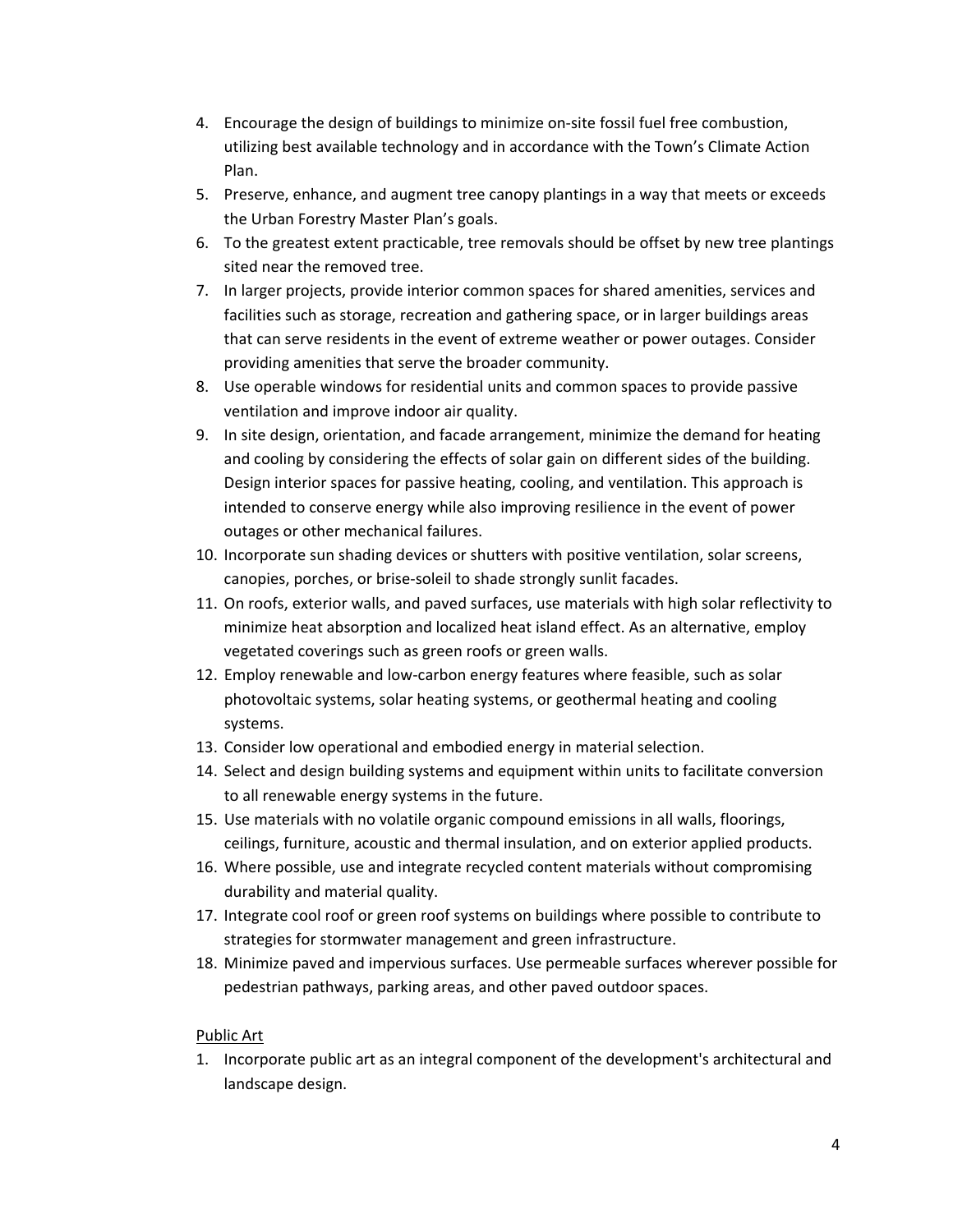- 4. Encourage the design of buildings to minimize on‐site fossil fuel free combustion, utilizing best available technology and in accordance with the Town's Climate Action Plan.
- 5. Preserve, enhance, and augment tree canopy plantings in a way that meets or exceeds the Urban Forestry Master Plan's goals.
- 6. To the greatest extent practicable, tree removals should be offset by new tree plantings sited near the removed tree.
- 7. In larger projects, provide interior common spaces for shared amenities, services and facilities such as storage, recreation and gathering space, or in larger buildings areas that can serve residents in the event of extreme weather or power outages. Consider providing amenities that serve the broader community.
- 8. Use operable windows for residential units and common spaces to provide passive ventilation and improve indoor air quality.
- 9. In site design, orientation, and facade arrangement, minimize the demand for heating and cooling by considering the effects of solar gain on different sides of the building. Design interior spaces for passive heating, cooling, and ventilation. This approach is intended to conserve energy while also improving resilience in the event of power outages or other mechanical failures.
- 10. Incorporate sun shading devices or shutters with positive ventilation, solar screens, canopies, porches, or brise‐soleil to shade strongly sunlit facades.
- 11. On roofs, exterior walls, and paved surfaces, use materials with high solar reflectivity to minimize heat absorption and localized heat island effect. As an alternative, employ vegetated coverings such as green roofs or green walls.
- 12. Employ renewable and low‐carbon energy features where feasible, such as solar photovoltaic systems, solar heating systems, or geothermal heating and cooling systems.
- 13. Consider low operational and embodied energy in material selection.
- 14. Select and design building systems and equipment within units to facilitate conversion to all renewable energy systems in the future.
- 15. Use materials with no volatile organic compound emissions in all walls, floorings, ceilings, furniture, acoustic and thermal insulation, and on exterior applied products.
- 16. Where possible, use and integrate recycled content materials without compromising durability and material quality.
- 17. Integrate cool roof or green roof systems on buildings where possible to contribute to strategies for stormwater management and green infrastructure.
- 18. Minimize paved and impervious surfaces. Use permeable surfaces wherever possible for pedestrian pathways, parking areas, and other paved outdoor spaces.

# Public Art

1. Incorporate public art as an integral component of the development's architectural and landscape design.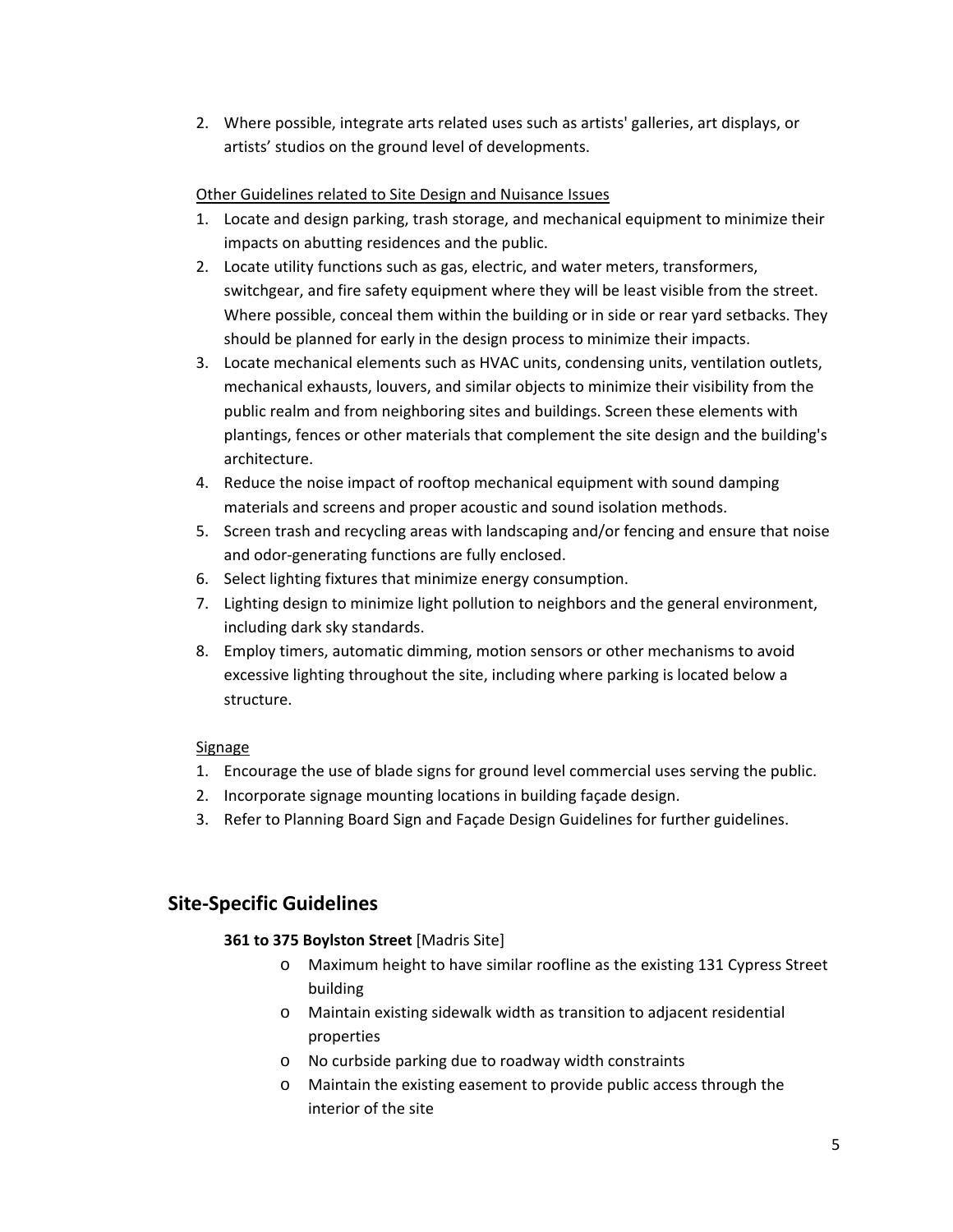2. Where possible, integrate arts related uses such as artists' galleries, art displays, or artists' studios on the ground level of developments.

# Other Guidelines related to Site Design and Nuisance Issues

- 1. Locate and design parking, trash storage, and mechanical equipment to minimize their impacts on abutting residences and the public.
- 2. Locate utility functions such as gas, electric, and water meters, transformers, switchgear, and fire safety equipment where they will be least visible from the street. Where possible, conceal them within the building or in side or rear yard setbacks. They should be planned for early in the design process to minimize their impacts.
- 3. Locate mechanical elements such as HVAC units, condensing units, ventilation outlets, mechanical exhausts, louvers, and similar objects to minimize their visibility from the public realm and from neighboring sites and buildings. Screen these elements with plantings, fences or other materials that complement the site design and the building's architecture.
- 4. Reduce the noise impact of rooftop mechanical equipment with sound damping materials and screens and proper acoustic and sound isolation methods.
- 5. Screen trash and recycling areas with landscaping and/or fencing and ensure that noise and odor‐generating functions are fully enclosed.
- 6. Select lighting fixtures that minimize energy consumption.
- 7. Lighting design to minimize light pollution to neighbors and the general environment, including dark sky standards.
- 8. Employ timers, automatic dimming, motion sensors or other mechanisms to avoid excessive lighting throughout the site, including where parking is located below a structure.

# Signage

- 1. Encourage the use of blade signs for ground level commercial uses serving the public.
- 2. Incorporate signage mounting locations in building façade design.
- 3. Refer to Planning Board Sign and Façade Design Guidelines for further guidelines.

# **Site‐Specific Guidelines**

# **361 to 375 Boylston Street** [Madris Site]

- o Maximum height to have similar roofline as the existing 131 Cypress Street building
- o Maintain existing sidewalk width as transition to adjacent residential properties
- o No curbside parking due to roadway width constraints
- o Maintain the existing easement to provide public access through the interior of the site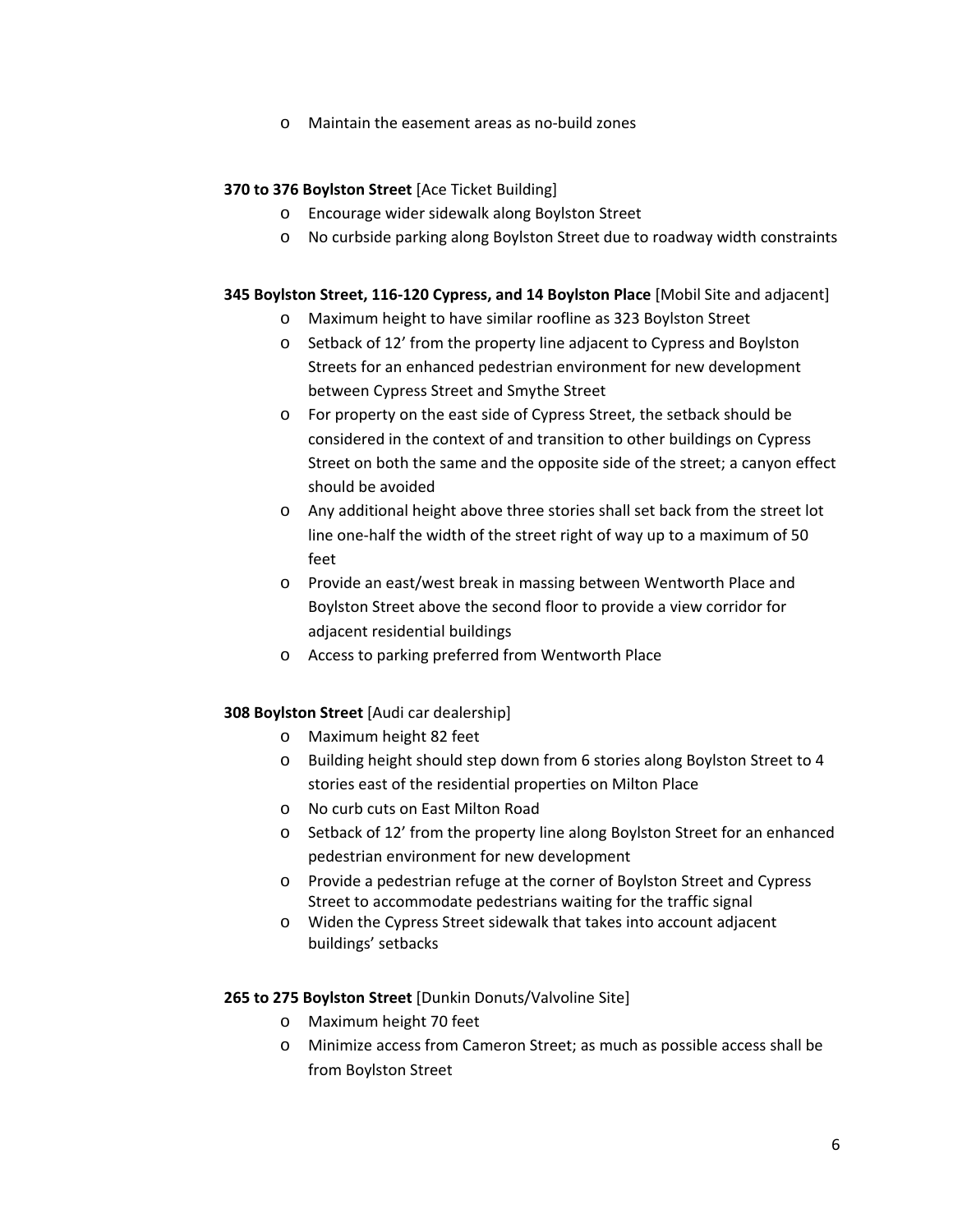o Maintain the easement areas as no‐build zones

#### **370 to 376 Boylston Street** [Ace Ticket Building]

- o Encourage wider sidewalk along Boylston Street
- o No curbside parking along Boylston Street due to roadway width constraints

#### **345 Boylston Street, 116‐120 Cypress, and 14 Boylston Place** [Mobil Site and adjacent]

- o Maximum height to have similar roofline as 323 Boylston Street
- o Setback of 12' from the property line adjacent to Cypress and Boylston Streets for an enhanced pedestrian environment for new development between Cypress Street and Smythe Street
- o For property on the east side of Cypress Street, the setback should be considered in the context of and transition to other buildings on Cypress Street on both the same and the opposite side of the street; a canyon effect should be avoided
- o Any additional height above three stories shall set back from the street lot line one‐half the width of the street right of way up to a maximum of 50 feet
- o Provide an east/west break in massing between Wentworth Place and Boylston Street above the second floor to provide a view corridor for adjacent residential buildings
- o Access to parking preferred from Wentworth Place

#### **308 Boylston Street** [Audi car dealership]

- o Maximum height 82 feet
- o Building height should step down from 6 stories along Boylston Street to 4 stories east of the residential properties on Milton Place
- o No curb cuts on East Milton Road
- o Setback of 12' from the property line along Boylston Street for an enhanced pedestrian environment for new development
- o Provide a pedestrian refuge at the corner of Boylston Street and Cypress Street to accommodate pedestrians waiting for the traffic signal
- o Widen the Cypress Street sidewalk that takes into account adjacent buildings' setbacks

#### **265 to 275 Boylston Street** [Dunkin Donuts/Valvoline Site]

- o Maximum height 70 feet
- o Minimize access from Cameron Street; as much as possible access shall be from Boylston Street